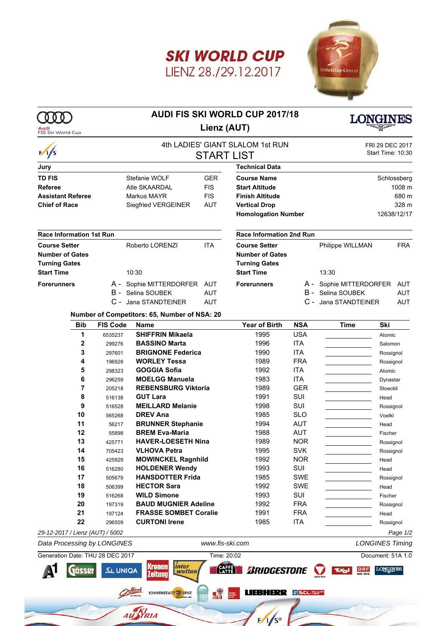



## **AUDI FIS SKI WORLD CUP 2017/18 Lienz (AUT)**

**COO** 

Audi



| FIS Ski World Cup                                                            |                  |                                                                                 |                          |                                                                                               |                          |                                                                      |                                      |                                         |
|------------------------------------------------------------------------------|------------------|---------------------------------------------------------------------------------|--------------------------|-----------------------------------------------------------------------------------------------|--------------------------|----------------------------------------------------------------------|--------------------------------------|-----------------------------------------|
| $\frac{1}{s}$                                                                |                  |                                                                                 |                          | 4th LADIES' GIANT SLALOM 1st RUN<br><b>START LIST</b>                                         |                          |                                                                      | FRI 29 DEC 2017<br>Start Time: 10:30 |                                         |
| Jury                                                                         |                  |                                                                                 |                          | <b>Technical Data</b>                                                                         |                          |                                                                      |                                      |                                         |
| <b>TD FIS</b><br>Referee<br><b>Assistant Referee</b><br><b>Chief of Race</b> |                  | Stefanie WOLF<br>Atle SKAARDAL<br>Markus MAYR<br>Siegfried VERGEINER            |                          | <b>Course Name</b><br><b>Start Altitude</b><br><b>Finish Altitude</b><br><b>Vertical Drop</b> |                          |                                                                      |                                      | Schlossberg<br>1008 m<br>680 m<br>328 m |
|                                                                              |                  |                                                                                 |                          | <b>Homologation Number</b>                                                                    |                          | 12638/12/17                                                          |                                      |                                         |
| <b>Race Information 1st Run</b>                                              |                  |                                                                                 |                          | Race Information 2nd Run                                                                      |                          |                                                                      |                                      |                                         |
| <b>Course Setter</b><br><b>Number of Gates</b><br><b>Turning Gates</b>       |                  | Roberto LORENZI                                                                 | <b>ITA</b>               | <b>Course Setter</b><br><b>Number of Gates</b><br><b>Turning Gates</b>                        |                          | Philippe WILLMAN                                                     |                                      | <b>FRA</b>                              |
| <b>Start Time</b>                                                            |                  | 10:30                                                                           |                          | <b>Start Time</b>                                                                             |                          | 13:30                                                                |                                      |                                         |
| <b>Forerunners</b>                                                           |                  | A - Sophie MITTERDORFER AUT<br><b>B</b> - Selina SOUBEK<br>C - Jana STANDTEINER | <b>AUT</b><br><b>AUT</b> | <b>Forerunners</b>                                                                            |                          | A - Sophie MITTERDORFER<br>B - Selina SOUBEK<br>C - Jana STANDTEINER |                                      | AUT<br><b>AUT</b><br><b>AUT</b>         |
|                                                                              |                  | Number of Competitors: 65, Number of NSA: 20                                    |                          |                                                                                               |                          |                                                                      |                                      |                                         |
| <b>Bib</b>                                                                   | <b>FIS Code</b>  | <b>Name</b>                                                                     |                          | <b>Year of Birth</b>                                                                          | <b>NSA</b>               | <b>Time</b>                                                          | Ski                                  |                                         |
| 1                                                                            | 6535237          | <b>SHIFFRIN Mikaela</b>                                                         |                          | 1995                                                                                          | <b>USA</b>               |                                                                      | Atomic                               |                                         |
| $\mathbf 2$<br>3                                                             | 299276           | <b>BASSINO Marta</b><br><b>BRIGNONE Federica</b>                                |                          | 1996<br>1990                                                                                  | <b>ITA</b><br><b>ITA</b> |                                                                      | Salomon                              |                                         |
| 4                                                                            | 297601<br>196928 | <b>WORLEY Tessa</b>                                                             |                          | 1989                                                                                          | <b>FRA</b>               |                                                                      | Rossignol<br>Rossignol               |                                         |
| 5                                                                            | 298323           | <b>GOGGIA Sofia</b>                                                             |                          | 1992                                                                                          | <b>ITA</b>               |                                                                      | Atomic                               |                                         |
| 6                                                                            | 296259           | <b>MOELGG Manuela</b>                                                           |                          | 1983                                                                                          | <b>ITA</b>               |                                                                      | Dynastar                             |                                         |
| 7                                                                            | 205218           | <b>REBENSBURG Viktoria</b>                                                      |                          | 1989                                                                                          | <b>GER</b>               |                                                                      | Stoeckli                             |                                         |
| 8                                                                            | 516138           | <b>GUT Lara</b>                                                                 |                          | 1991                                                                                          | SUI                      |                                                                      | Head                                 |                                         |
| 9                                                                            | 516528           | <b>MEILLARD Melanie</b>                                                         |                          | 1998                                                                                          | SUI                      |                                                                      | Rossignol                            |                                         |
| 10                                                                           | 565268           | <b>DREV Ana</b>                                                                 |                          | 1985                                                                                          | <b>SLO</b>               |                                                                      | Voelkl                               |                                         |
| 11                                                                           | 56217            | <b>BRUNNER Stephanie</b>                                                        |                          | 1994                                                                                          | AUT                      |                                                                      | Head                                 |                                         |
| 12                                                                           | 55898            | <b>BREM Eva-Maria</b>                                                           |                          | 1988                                                                                          | AUT                      |                                                                      | Fischer                              |                                         |
| 13                                                                           | 425771           | <b>HAVER-LOESETH Nina</b>                                                       |                          | 1989                                                                                          | <b>NOR</b>               |                                                                      | Rossignol                            |                                         |
| 14                                                                           | 705423           | <b>VLHOVA Petra</b>                                                             |                          | 1995                                                                                          | <b>SVK</b>               |                                                                      | Rossignol                            |                                         |
| 15                                                                           | 425929           | <b>MOWINCKEL Ragnhild</b>                                                       |                          | 1992                                                                                          | <b>NOR</b>               |                                                                      | Head                                 |                                         |
| 16                                                                           | 516280           | <b>HOLDENER Wendy</b>                                                           |                          | 1993                                                                                          | SUI                      |                                                                      | Head                                 |                                         |
| 17                                                                           | 505679           | <b>HANSDOTTER Frida</b>                                                         |                          | 1985                                                                                          | SWE                      |                                                                      | Rossignol                            |                                         |
| 18                                                                           | 506399           | <b>HECTOR Sara</b>                                                              |                          | 1992                                                                                          | SWE                      |                                                                      | Head                                 |                                         |
| 19                                                                           | 516268           | <b>WILD Simone</b>                                                              |                          | 1993                                                                                          | SUI                      |                                                                      | Fischer                              |                                         |
| 20                                                                           | 197319           | <b>BAUD MUGNIER Adeline</b>                                                     |                          | 1992                                                                                          | <b>FRA</b>               |                                                                      | Rossignol                            |                                         |
| 21                                                                           | 197124           | <b>FRASSE SOMBET Coralie</b>                                                    |                          | 1991                                                                                          | <b>FRA</b>               |                                                                      | Head                                 |                                         |
| 22                                                                           | 296509           | <b>CURTONI Irene</b>                                                            |                          | 1985                                                                                          | <b>ITA</b>               |                                                                      | Rossignol                            |                                         |
| 29-12-2017 / Lienz (AUT) / 5002                                              |                  |                                                                                 |                          |                                                                                               |                          |                                                                      |                                      | Page 1/2                                |
| Data Processing by LONGINES                                                  |                  |                                                                                 | www.fis-ski.com          |                                                                                               |                          |                                                                      | <b>LONGINES Timing</b>               |                                         |
| Generation Date: THU 28 DEC 2017                                             |                  |                                                                                 | Time: 20:02              |                                                                                               |                          |                                                                      | Document: 51A 1.0                    |                                         |



 $F/1/s$